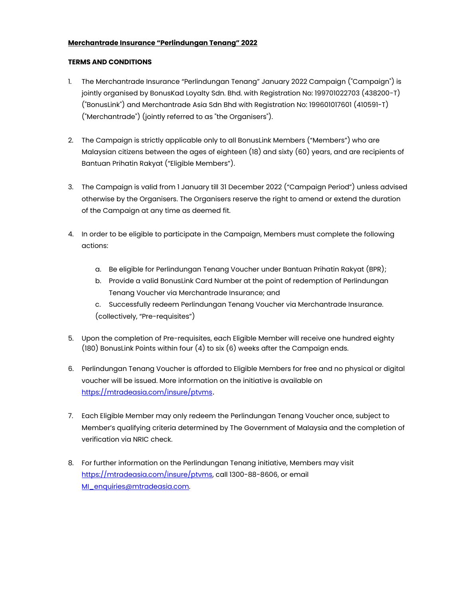## **Merchantrade Insurance "Perlindungan Tenang" 2022**

## **TERMS AND CONDITIONS**

- 1. The Merchantrade Insurance "Perlindungan Tenang" January 2022 Campaign ("Campaign") is jointly organised by BonusKad Loyalty Sdn. Bhd. with Registration No: 199701022703 (438200-T) ("BonusLink") and Merchantrade Asia Sdn Bhd with Registration No: 199601017601 (410591-T) ("Merchantrade") (jointly referred to as "the Organisers").
- 2. The Campaign is strictly applicable only to all BonusLink Members ("Members") who are Malaysian citizens between the ages of eighteen (18) and sixty (60) years, and are recipients of Bantuan Prihatin Rakyat ("Eligible Members").
- 3. The Campaign is valid from 1 January till 31 December 2022 ("Campaign Period") unless advised otherwise by the Organisers. The Organisers reserve the right to amend or extend the duration of the Campaign at any time as deemed fit.
- 4. In order to be eligible to participate in the Campaign, Members must complete the following actions:
	- a. Be eligible for Perlindungan Tenang Voucher under Bantuan Prihatin Rakyat (BPR);
	- b. Provide a valid BonusLink Card Number at the point of redemption of Perlindungan Tenang Voucher via Merchantrade Insurance; and
	- c. Successfully redeem Perlindungan Tenang Voucher via Merchantrade Insurance. (collectively, "Pre-requisites")
- 5. Upon the completion of Pre-requisites, each Eligible Member will receive one hundred eighty (180) BonusLink Points within four (4) to six (6) weeks after the Campaign ends.
- 6. Perlindungan Tenang Voucher is afforded to Eligible Members for free and no physical or digital voucher will be issued. More information on the initiative is available on [https://mtradeasia.com/insure/ptvms](https://mtradeasia.com/insure/ptvms/index.php).
- 7. Each Eligible Member may only redeem the Perlindungan Tenang Voucher once, subject to Member's qualifying criteria determined by The Government of Malaysia and the completion of verification via NRIC check.
- 8. For further information on the Perlindungan Tenang initiative, Members may visit [https://mtradeasia.com/insure/ptvms,](https://mtradeasia.com/insure/ptvms/index.php) call 1300-88-8606, or email [MI\\_enquiries@mtradeasia.com.](mailto:MI_enquiries@mtradeasia.com)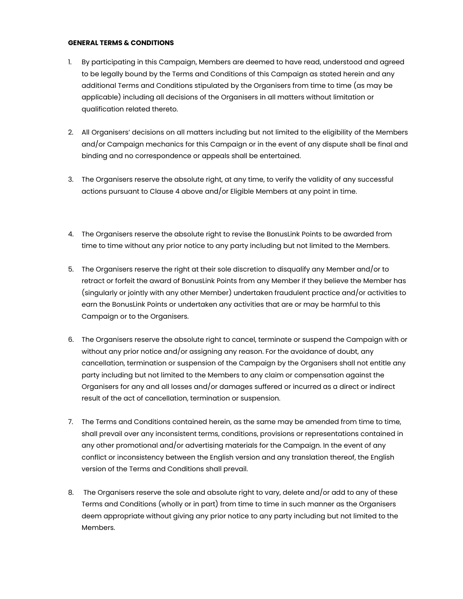## **GENERAL TERMS & CONDITIONS**

- 1. By participating in this Campaign, Members are deemed to have read, understood and agreed to be legally bound by the Terms and Conditions of this Campaign as stated herein and any additional Terms and Conditions stipulated by the Organisers from time to time (as may be applicable) including all decisions of the Organisers in all matters without limitation or qualification related thereto.
- 2. All Organisers' decisions on all matters including but not limited to the eligibility of the Members and/or Campaign mechanics for this Campaign or in the event of any dispute shall be final and binding and no correspondence or appeals shall be entertained.
- 3. The Organisers reserve the absolute right, at any time, to verify the validity of any successful actions pursuant to Clause 4 above and/or Eligible Members at any point in time.
- 4. The Organisers reserve the absolute right to revise the BonusLink Points to be awarded from time to time without any prior notice to any party including but not limited to the Members.
- 5. The Organisers reserve the right at their sole discretion to disqualify any Member and/or to retract or forfeit the award of BonusLink Points from any Member if they believe the Member has (singularly or jointly with any other Member) undertaken fraudulent practice and/or activities to earn the BonusLink Points or undertaken any activities that are or may be harmful to this Campaign or to the Organisers.
- 6. The Organisers reserve the absolute right to cancel, terminate or suspend the Campaign with or without any prior notice and/or assigning any reason. For the avoidance of doubt, any cancellation, termination or suspension of the Campaign by the Organisers shall not entitle any party including but not limited to the Members to any claim or compensation against the Organisers for any and all losses and/or damages suffered or incurred as a direct or indirect result of the act of cancellation, termination or suspension.
- 7. The Terms and Conditions contained herein, as the same may be amended from time to time, shall prevail over any inconsistent terms, conditions, provisions or representations contained in any other promotional and/or advertising materials for the Campaign. In the event of any conflict or inconsistency between the English version and any translation thereof, the English version of the Terms and Conditions shall prevail.
- 8. The Organisers reserve the sole and absolute right to vary, delete and/or add to any of these Terms and Conditions (wholly or in part) from time to time in such manner as the Organisers deem appropriate without giving any prior notice to any party including but not limited to the Members.